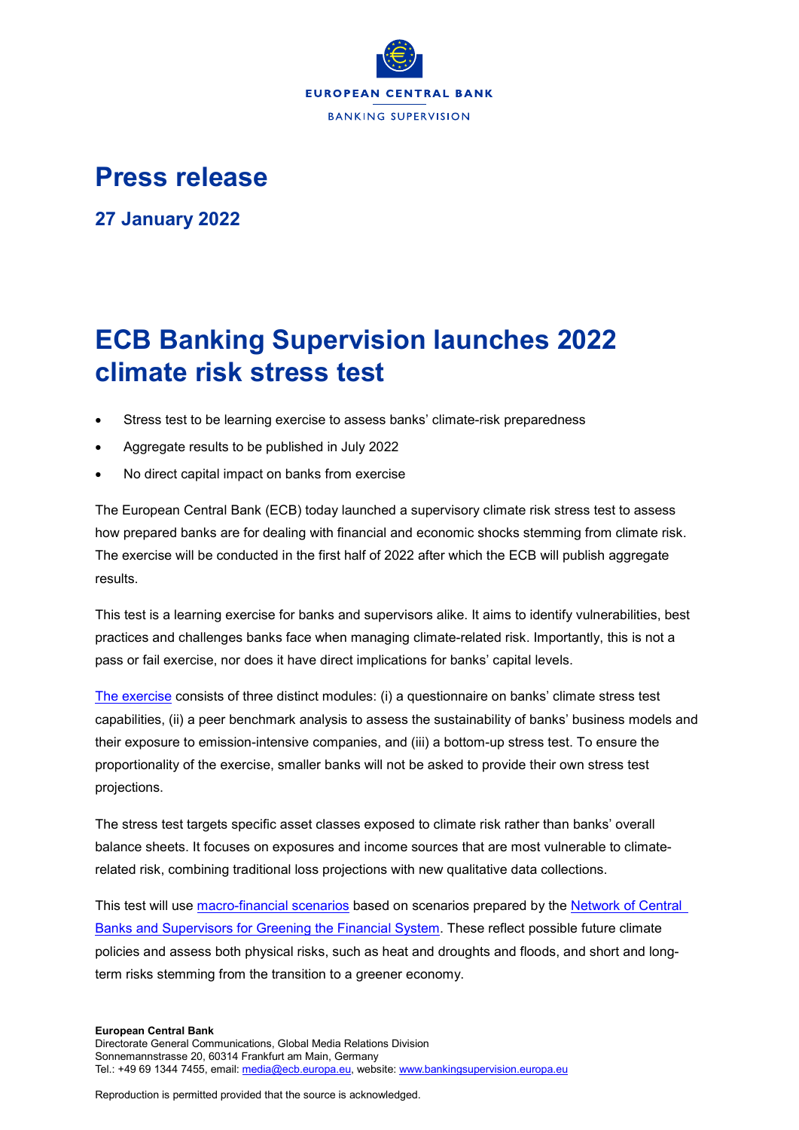

## **Press release**

**27 January 2022**

## **ECB Banking Supervision launches 2022 climate risk stress test**

- Stress test to be learning exercise to assess banks' climate-risk preparedness
- Aggregate results to be published in July 2022
- No direct capital impact on banks from exercise

The European Central Bank (ECB) today launched a supervisory climate risk stress test to assess how prepared banks are for dealing with financial and economic shocks stemming from climate risk. The exercise will be conducted in the first half of 2022 after which the ECB will publish aggregate results.

This test is a learning exercise for banks and supervisors alike. It aims to identify vulnerabilities, best practices and challenges banks face when managing climate-related risk. Importantly, this is not a pass or fail exercise, nor does it have direct implications for banks' capital levels.

[The exercise](https://www.bankingsupervision.europa.eu/press/letterstobanks/shared/pdf/2021/ssm.2021_letter_on_participation_in_the_2022_ECB_climate_risk_stress_test%7E48b409406e.en.pdf) consists of three distinct modules: (i) a questionnaire on banks' climate stress test capabilities, (ii) a peer benchmark analysis to assess the sustainability of banks' business models and their exposure to emission-intensive companies, and (iii) a bottom-up stress test. To ensure the proportionality of the exercise, smaller banks will not be asked to provide their own stress test projections.

The stress test targets specific asset classes exposed to climate risk rather than banks' overall balance sheets. It focuses on exposures and income sources that are most vulnerable to climaterelated risk, combining traditional loss projections with new qualitative data collections.

This test will use [macro-financial scenarios](https://www.bankingsupervision.europa.eu/ecb/pub/pdf/ssm.macrofinancialscenariosclimateriskstresstest2022%7Ebcac934986.en.pdf) based on scenarios prepared by the Network of Central [Banks and Supervisors for Greening the Financial System.](https://www.ngfs.net/en#:%7E:text=The%20Network%20of%20Central%20Banks,of%20environment%20and%20climate%20risk) These reflect possible future climate policies and assess both physical risks, such as heat and droughts and floods, and short and longterm risks stemming from the transition to a greener economy.

## **European Central Bank**

Reproduction is permitted provided that the source is acknowledged.